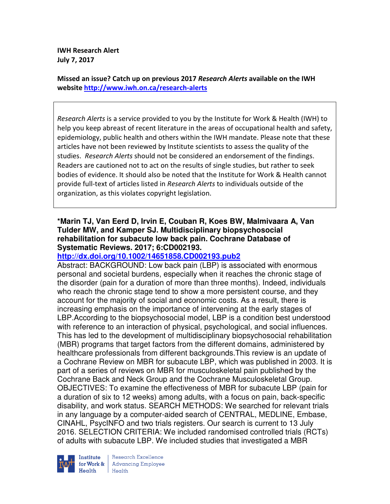**IWH Research Alert July 7, 2017** 

**Missed an issue? Catch up on previous 2017** *Research Alerts* **available on the IWH website http://www.iwh.on.ca/research-alerts**

*Research Alerts* is a service provided to you by the Institute for Work & Health (IWH) to help you keep abreast of recent literature in the areas of occupational health and safety, epidemiology, public health and others within the IWH mandate. Please note that these articles have not been reviewed by Institute scientists to assess the quality of the studies. *Research Alerts* should not be considered an endorsement of the findings. Readers are cautioned not to act on the results of single studies, but rather to seek bodies of evidence. It should also be noted that the Institute for Work & Health cannot provide full-text of articles listed in *Research Alerts* to individuals outside of the organization, as this violates copyright legislation.

### **\*Marin TJ, Van Eerd D, Irvin E, Couban R, Koes BW, Malmivaara A, Van Tulder MW, and Kamper SJ. Multidisciplinary biopsychosocial rehabilitation for subacute low back pain. Cochrane Database of Systematic Reviews. 2017; 6:CD002193.**

### **http://dx.doi.org/10.1002/14651858.CD002193.pub2**

Abstract: BACKGROUND: Low back pain (LBP) is associated with enormous personal and societal burdens, especially when it reaches the chronic stage of the disorder (pain for a duration of more than three months). Indeed, individuals who reach the chronic stage tend to show a more persistent course, and they account for the majority of social and economic costs. As a result, there is increasing emphasis on the importance of intervening at the early stages of LBP.According to the biopsychosocial model, LBP is a condition best understood with reference to an interaction of physical, psychological, and social influences. This has led to the development of multidisciplinary biopsychosocial rehabilitation (MBR) programs that target factors from the different domains, administered by healthcare professionals from different backgrounds.This review is an update of a Cochrane Review on MBR for subacute LBP, which was published in 2003. It is part of a series of reviews on MBR for musculoskeletal pain published by the Cochrane Back and Neck Group and the Cochrane Musculoskeletal Group. OBJECTIVES: To examine the effectiveness of MBR for subacute LBP (pain for a duration of six to 12 weeks) among adults, with a focus on pain, back-specific disability, and work status. SEARCH METHODS: We searched for relevant trials in any language by a computer-aided search of CENTRAL, MEDLINE, Embase, CINAHL, PsycINFO and two trials registers. Our search is current to 13 July 2016. SELECTION CRITERIA: We included randomised controlled trials (RCTs) of adults with subacute LBP. We included studies that investigated a MBR



Research Excellence **Advancing Employee** Health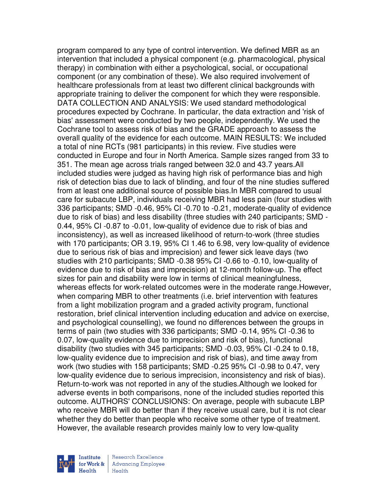program compared to any type of control intervention. We defined MBR as an intervention that included a physical component (e.g. pharmacological, physical therapy) in combination with either a psychological, social, or occupational component (or any combination of these). We also required involvement of healthcare professionals from at least two different clinical backgrounds with appropriate training to deliver the component for which they were responsible. DATA COLLECTION AND ANALYSIS: We used standard methodological procedures expected by Cochrane. In particular, the data extraction and 'risk of bias' assessment were conducted by two people, independently. We used the Cochrane tool to assess risk of bias and the GRADE approach to assess the overall quality of the evidence for each outcome. MAIN RESULTS: We included a total of nine RCTs (981 participants) in this review. Five studies were conducted in Europe and four in North America. Sample sizes ranged from 33 to 351. The mean age across trials ranged between 32.0 and 43.7 years.All included studies were judged as having high risk of performance bias and high risk of detection bias due to lack of blinding, and four of the nine studies suffered from at least one additional source of possible bias.In MBR compared to usual care for subacute LBP, individuals receiving MBR had less pain (four studies with 336 participants; SMD -0.46, 95% CI -0.70 to -0.21, moderate-quality of evidence due to risk of bias) and less disability (three studies with 240 participants; SMD - 0.44, 95% CI -0.87 to -0.01, low-quality of evidence due to risk of bias and inconsistency), as well as increased likelihood of return-to-work (three studies with 170 participants; OR 3.19, 95% CI 1.46 to 6.98, very low-quality of evidence due to serious risk of bias and imprecision) and fewer sick leave days (two studies with 210 participants; SMD -0.38 95% CI -0.66 to -0.10, low-quality of evidence due to risk of bias and imprecision) at 12-month follow-up. The effect sizes for pain and disability were low in terms of clinical meaningfulness, whereas effects for work-related outcomes were in the moderate range.However, when comparing MBR to other treatments (i.e. brief intervention with features from a light mobilization program and a graded activity program, functional restoration, brief clinical intervention including education and advice on exercise, and psychological counselling), we found no differences between the groups in terms of pain (two studies with 336 participants; SMD -0.14, 95% CI -0.36 to 0.07, low-quality evidence due to imprecision and risk of bias), functional disability (two studies with 345 participants; SMD -0.03, 95% CI -0.24 to 0.18, low-quality evidence due to imprecision and risk of bias), and time away from work (two studies with 158 participants; SMD -0.25 95% CI -0.98 to 0.47, very low-quality evidence due to serious imprecision, inconsistency and risk of bias). Return-to-work was not reported in any of the studies.Although we looked for adverse events in both comparisons, none of the included studies reported this outcome. AUTHORS' CONCLUSIONS: On average, people with subacute LBP who receive MBR will do better than if they receive usual care, but it is not clear whether they do better than people who receive some other type of treatment. However, the available research provides mainly low to very low-quality

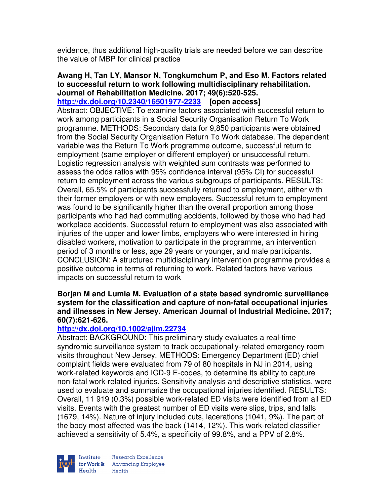evidence, thus additional high-quality trials are needed before we can describe the value of MBP for clinical practice

# **Awang H, Tan LY, Mansor N, Tongkumchum P, and Eso M. Factors related to successful return to work following multidisciplinary rehabilitation. Journal of Rehabilitation Medicine. 2017; 49(6):520-525.**

**http://dx.doi.org/10.2340/16501977-2233 [open access]** Abstract: OBJECTIVE: To examine factors associated with successful return to work among participants in a Social Security Organisation Return To Work programme. METHODS: Secondary data for 9,850 participants were obtained from the Social Security Organisation Return To Work database. The dependent variable was the Return To Work programme outcome, successful return to employment (same employer or different employer) or unsuccessful return. Logistic regression analysis with weighted sum contrasts was performed to assess the odds ratios with 95% confidence interval (95% CI) for successful return to employment across the various subgroups of participants. RESULTS: Overall, 65.5% of participants successfully returned to employment, either with their former employers or with new employers. Successful return to employment was found to be significantly higher than the overall proportion among those participants who had had commuting accidents, followed by those who had had workplace accidents. Successful return to employment was also associated with injuries of the upper and lower limbs, employers who were interested in hiring disabled workers, motivation to participate in the programme, an intervention period of 3 months or less, age 29 years or younger, and male participants. CONCLUSION: A structured multidisciplinary intervention programme provides a positive outcome in terms of returning to work. Related factors have various impacts on successful return to work

#### **Borjan M and Lumia M. Evaluation of a state based syndromic surveillance system for the classification and capture of non-fatal occupational injuries and illnesses in New Jersey. American Journal of Industrial Medicine. 2017; 60(7):621-626.**

## **http://dx.doi.org/10.1002/ajim.22734**

Abstract: BACKGROUND: This preliminary study evaluates a real-time syndromic surveillance system to track occupationally-related emergency room visits throughout New Jersey. METHODS: Emergency Department (ED) chief complaint fields were evaluated from 79 of 80 hospitals in NJ in 2014, using work-related keywords and ICD-9 E-codes, to determine its ability to capture non-fatal work-related injuries. Sensitivity analysis and descriptive statistics, were used to evaluate and summarize the occupational injuries identified. RESULTS: Overall, 11 919 (0.3%) possible work-related ED visits were identified from all ED visits. Events with the greatest number of ED visits were slips, trips, and falls (1679, 14%). Nature of injury included cuts, lacerations (1041, 9%). The part of the body most affected was the back (1414, 12%). This work-related classifier achieved a sensitivity of 5.4%, a specificity of 99.8%, and a PPV of 2.8%.

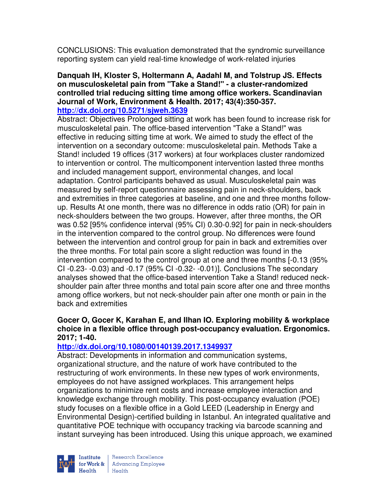CONCLUSIONS: This evaluation demonstrated that the syndromic surveillance reporting system can yield real-time knowledge of work-related injuries

#### **Danquah IH, Kloster S, Holtermann A, Aadahl M, and Tolstrup JS. Effects on musculoskeletal pain from "Take a Stand!" - a cluster-randomized controlled trial reducing sitting time among office workers. Scandinavian Journal of Work, Environment & Health. 2017; 43(4):350-357. http://dx.doi.org/10.5271/sjweh.3639**

Abstract: Objectives Prolonged sitting at work has been found to increase risk for musculoskeletal pain. The office-based intervention "Take a Stand!" was effective in reducing sitting time at work. We aimed to study the effect of the intervention on a secondary outcome: musculoskeletal pain. Methods Take a Stand! included 19 offices (317 workers) at four workplaces cluster randomized to intervention or control. The multicomponent intervention lasted three months and included management support, environmental changes, and local adaptation. Control participants behaved as usual. Musculoskeletal pain was measured by self-report questionnaire assessing pain in neck-shoulders, back and extremities in three categories at baseline, and one and three months followup. Results At one month, there was no difference in odds ratio (OR) for pain in neck-shoulders between the two groups. However, after three months, the OR was 0.52 [95% confidence interval (95% CI) 0.30-0.92] for pain in neck-shoulders in the intervention compared to the control group. No differences were found between the intervention and control group for pain in back and extremities over the three months. For total pain score a slight reduction was found in the intervention compared to the control group at one and three months [-0.13 (95% CI -0.23- -0.03) and -0.17 (95% CI -0.32- -0.01)]. Conclusions The secondary analyses showed that the office-based intervention Take a Stand! reduced neckshoulder pain after three months and total pain score after one and three months among office workers, but not neck-shoulder pain after one month or pain in the back and extremities

### **Gocer O, Gocer K, Karahan E, and Ilhan IO. Exploring mobility & workplace choice in a flexible office through post-occupancy evaluation. Ergonomics. 2017; 1-40.**

#### **http://dx.doi.org/10.1080/00140139.2017.1349937**

Abstract: Developments in information and communication systems, organizational structure, and the nature of work have contributed to the restructuring of work environments. In these new types of work environments, employees do not have assigned workplaces. This arrangement helps organizations to minimize rent costs and increase employee interaction and knowledge exchange through mobility. This post-occupancy evaluation (POE) study focuses on a flexible office in a Gold LEED (Leadership in Energy and Environmental Design)-certified building in Istanbul. An integrated qualitative and quantitative POE technique with occupancy tracking via barcode scanning and instant surveying has been introduced. Using this unique approach, we examined

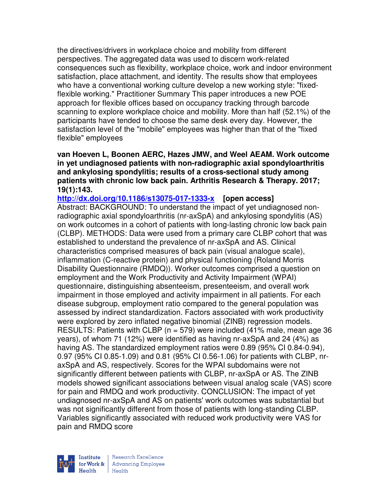the directives/drivers in workplace choice and mobility from different perspectives. The aggregated data was used to discern work-related consequences such as flexibility, workplace choice, work and indoor environment satisfaction, place attachment, and identity. The results show that employees who have a conventional working culture develop a new working style: "fixedflexible working." Practitioner Summary This paper introduces a new POE approach for flexible offices based on occupancy tracking through barcode scanning to explore workplace choice and mobility. More than half (52.1%) of the participants have tended to choose the same desk every day. However, the satisfaction level of the "mobile" employees was higher than that of the "fixed flexible" employees

**van Hoeven L, Boonen AERC, Hazes JMW, and Weel AEAM. Work outcome in yet undiagnosed patients with non-radiographic axial spondyloarthritis and ankylosing spondylitis; results of a cross-sectional study among patients with chronic low back pain. Arthritis Research & Therapy. 2017; 19(1):143.** 

**http://dx.doi.org/10.1186/s13075-017-1333-x [open access]** Abstract: BACKGROUND: To understand the impact of yet undiagnosed nonradiographic axial spondyloarthritis (nr-axSpA) and ankylosing spondylitis (AS) on work outcomes in a cohort of patients with long-lasting chronic low back pain (CLBP). METHODS: Data were used from a primary care CLBP cohort that was established to understand the prevalence of nr-axSpA and AS. Clinical characteristics comprised measures of back pain (visual analogue scale), inflammation (C-reactive protein) and physical functioning (Roland Morris Disability Questionnaire (RMDQ)). Worker outcomes comprised a question on employment and the Work Productivity and Activity Impairment (WPAI) questionnaire, distinguishing absenteeism, presenteeism, and overall work impairment in those employed and activity impairment in all patients. For each disease subgroup, employment ratio compared to the general population was assessed by indirect standardization. Factors associated with work productivity were explored by zero inflated negative binomial (ZINB) regression models. RESULTS: Patients with CLBP (n = 579) were included (41% male, mean age 36 years), of whom 71 (12%) were identified as having nr-axSpA and 24 (4%) as having AS. The standardized employment ratios were 0.89 (95% CI 0.84-0.94), 0.97 (95% CI 0.85-1.09) and 0.81 (95% CI 0.56-1.06) for patients with CLBP, nraxSpA and AS, respectively. Scores for the WPAI subdomains were not significantly different between patients with CLBP, nr-axSpA or AS. The ZINB models showed significant associations between visual analog scale (VAS) score for pain and RMDQ and work productivity. CONCLUSION: The impact of yet undiagnosed nr-axSpA and AS on patients' work outcomes was substantial but was not significantly different from those of patients with long-standing CLBP. Variables significantly associated with reduced work productivity were VAS for pain and RMDQ score

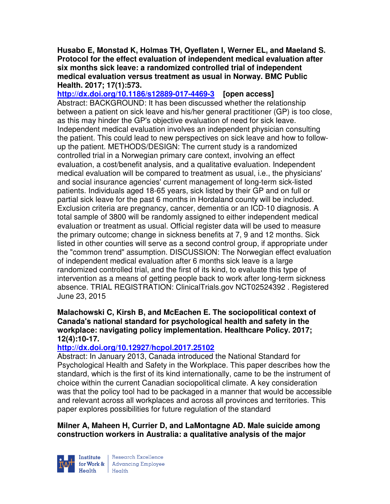**Husabo E, Monstad K, Holmas TH, Oyeflaten I, Werner EL, and Maeland S. Protocol for the effect evaluation of independent medical evaluation after six months sick leave: a randomized controlled trial of independent medical evaluation versus treatment as usual in Norway. BMC Public Health. 2017; 17(1):573.** 

**http://dx.doi.org/10.1186/s12889-017-4469-3 [open access]** Abstract: BACKGROUND: It has been discussed whether the relationship between a patient on sick leave and his/her general practitioner (GP) is too close, as this may hinder the GP's objective evaluation of need for sick leave. Independent medical evaluation involves an independent physician consulting the patient. This could lead to new perspectives on sick leave and how to followup the patient. METHODS/DESIGN: The current study is a randomized controlled trial in a Norwegian primary care context, involving an effect evaluation, a cost/benefit analysis, and a qualitative evaluation. Independent medical evaluation will be compared to treatment as usual, i.e., the physicians' and social insurance agencies' current management of long-term sick-listed patients. Individuals aged 18-65 years, sick listed by their GP and on full or partial sick leave for the past 6 months in Hordaland county will be included. Exclusion criteria are pregnancy, cancer, dementia or an ICD-10 diagnosis. A total sample of 3800 will be randomly assigned to either independent medical evaluation or treatment as usual. Official register data will be used to measure the primary outcome; change in sickness benefits at 7, 9 and 12 months. Sick listed in other counties will serve as a second control group, if appropriate under the "common trend" assumption. DISCUSSION: The Norwegian effect evaluation of independent medical evaluation after 6 months sick leave is a large randomized controlled trial, and the first of its kind, to evaluate this type of intervention as a means of getting people back to work after long-term sickness absence. TRIAL REGISTRATION: ClinicalTrials.gov NCT02524392 . Registered June 23, 2015

### **Malachowski C, Kirsh B, and McEachen E. The sociopolitical context of Canada's national standard for psychological health and safety in the workplace: navigating policy implementation. Healthcare Policy. 2017; 12(4):10-17.**

## **http://dx.doi.org/10.12927/hcpol.2017.25102**

Abstract: In January 2013, Canada introduced the National Standard for Psychological Health and Safety in the Workplace. This paper describes how the standard, which is the first of its kind internationally, came to be the instrument of choice within the current Canadian sociopolitical climate. A key consideration was that the policy tool had to be packaged in a manner that would be accessible and relevant across all workplaces and across all provinces and territories. This paper explores possibilities for future regulation of the standard

**Milner A, Maheen H, Currier D, and LaMontagne AD. Male suicide among construction workers in Australia: a qualitative analysis of the major** 



Research Excellence  $Heath$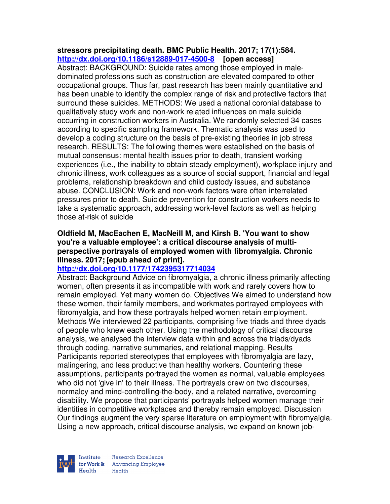### **stressors precipitating death. BMC Public Health. 2017; 17(1):584. http://dx.doi.org/10.1186/s12889-017-4500-8 [open access]**

Abstract: BACKGROUND: Suicide rates among those employed in maledominated professions such as construction are elevated compared to other occupational groups. Thus far, past research has been mainly quantitative and has been unable to identify the complex range of risk and protective factors that surround these suicides. METHODS: We used a national coronial database to qualitatively study work and non-work related influences on male suicide occurring in construction workers in Australia. We randomly selected 34 cases according to specific sampling framework. Thematic analysis was used to develop a coding structure on the basis of pre-existing theories in job stress research. RESULTS: The following themes were established on the basis of mutual consensus: mental health issues prior to death, transient working experiences (i.e., the inability to obtain steady employment), workplace injury and chronic illness, work colleagues as a source of social support, financial and legal problems, relationship breakdown and child custody issues, and substance abuse. CONCLUSION: Work and non-work factors were often interrelated pressures prior to death. Suicide prevention for construction workers needs to take a systematic approach, addressing work-level factors as well as helping those at-risk of suicide

### **Oldfield M, MacEachen E, MacNeill M, and Kirsh B. 'You want to show you're a valuable employee': a critical discourse analysis of multiperspective portrayals of employed women with fibromyalgia. Chronic Illness. 2017; [epub ahead of print].**

## **http://dx.doi.org/10.1177/1742395317714034**

Abstract: Background Advice on fibromyalgia, a chronic illness primarily affecting women, often presents it as incompatible with work and rarely covers how to remain employed. Yet many women do. Objectives We aimed to understand how these women, their family members, and workmates portrayed employees with fibromyalgia, and how these portrayals helped women retain employment. Methods We interviewed 22 participants, comprising five triads and three dyads of people who knew each other. Using the methodology of critical discourse analysis, we analysed the interview data within and across the triads/dyads through coding, narrative summaries, and relational mapping. Results Participants reported stereotypes that employees with fibromyalgia are lazy, malingering, and less productive than healthy workers. Countering these assumptions, participants portrayed the women as normal, valuable employees who did not 'give in' to their illness. The portrayals drew on two discourses, normalcy and mind-controlling-the-body, and a related narrative, overcoming disability. We propose that participants' portrayals helped women manage their identities in competitive workplaces and thereby remain employed. Discussion Our findings augment the very sparse literature on employment with fibromyalgia. Using a new approach, critical discourse analysis, we expand on known job-

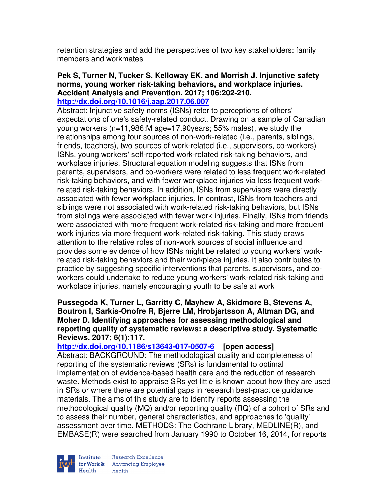retention strategies and add the perspectives of two key stakeholders: family members and workmates

#### **Pek S, Turner N, Tucker S, Kelloway EK, and Morrish J. Injunctive safety norms, young worker risk-taking behaviors, and workplace injuries. Accident Analysis and Prevention. 2017; 106:202-210. http://dx.doi.org/10.1016/j.aap.2017.06.007**

Abstract: Injunctive safety norms (ISNs) refer to perceptions of others' expectations of one's safety-related conduct. Drawing on a sample of Canadian young workers (n=11,986;M age=17.90years; 55% males), we study the relationships among four sources of non-work-related (i.e., parents, siblings, friends, teachers), two sources of work-related (i.e., supervisors, co-workers) ISNs, young workers' self-reported work-related risk-taking behaviors, and workplace injuries. Structural equation modeling suggests that ISNs from parents, supervisors, and co-workers were related to less frequent work-related risk-taking behaviors, and with fewer workplace injuries via less frequent workrelated risk-taking behaviors. In addition, ISNs from supervisors were directly associated with fewer workplace injuries. In contrast, ISNs from teachers and siblings were not associated with work-related risk-taking behaviors, but ISNs from siblings were associated with fewer work injuries. Finally, ISNs from friends were associated with more frequent work-related risk-taking and more frequent work injuries via more frequent work-related risk-taking. This study draws attention to the relative roles of non-work sources of social influence and provides some evidence of how ISNs might be related to young workers' workrelated risk-taking behaviors and their workplace injuries. It also contributes to practice by suggesting specific interventions that parents, supervisors, and coworkers could undertake to reduce young workers' work-related risk-taking and workplace injuries, namely encouraging youth to be safe at work

#### **Pussegoda K, Turner L, Garritty C, Mayhew A, Skidmore B, Stevens A, Boutron I, Sarkis-Onofre R, Bjerre LM, Hrobjartsson A, Altman DG, and Moher D. Identifying approaches for assessing methodological and reporting quality of systematic reviews: a descriptive study. Systematic Reviews. 2017; 6(1):117.**

**http://dx.doi.org/10.1186/s13643-017-0507-6 [open access]** Abstract: BACKGROUND: The methodological quality and completeness of reporting of the systematic reviews (SRs) is fundamental to optimal implementation of evidence-based health care and the reduction of research waste. Methods exist to appraise SRs yet little is known about how they are used in SRs or where there are potential gaps in research best-practice guidance materials. The aims of this study are to identify reports assessing the methodological quality (MQ) and/or reporting quality (RQ) of a cohort of SRs and to assess their number, general characteristics, and approaches to 'quality' assessment over time. METHODS: The Cochrane Library, MEDLINE(R), and EMBASE(R) were searched from January 1990 to October 16, 2014, for reports

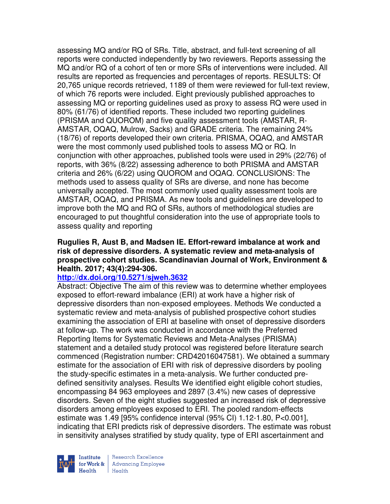assessing MQ and/or RQ of SRs. Title, abstract, and full-text screening of all reports were conducted independently by two reviewers. Reports assessing the MQ and/or RQ of a cohort of ten or more SRs of interventions were included. All results are reported as frequencies and percentages of reports. RESULTS: Of 20,765 unique records retrieved, 1189 of them were reviewed for full-text review, of which 76 reports were included. Eight previously published approaches to assessing MQ or reporting guidelines used as proxy to assess RQ were used in 80% (61/76) of identified reports. These included two reporting guidelines (PRISMA and QUOROM) and five quality assessment tools (AMSTAR, R-AMSTAR, OQAQ, Mulrow, Sacks) and GRADE criteria. The remaining 24% (18/76) of reports developed their own criteria. PRISMA, OQAQ, and AMSTAR were the most commonly used published tools to assess MQ or RQ. In conjunction with other approaches, published tools were used in 29% (22/76) of reports, with 36% (8/22) assessing adherence to both PRISMA and AMSTAR criteria and 26% (6/22) using QUOROM and OQAQ. CONCLUSIONS: The methods used to assess quality of SRs are diverse, and none has become universally accepted. The most commonly used quality assessment tools are AMSTAR, OQAQ, and PRISMA. As new tools and guidelines are developed to improve both the MQ and RQ of SRs, authors of methodological studies are encouraged to put thoughtful consideration into the use of appropriate tools to assess quality and reporting

#### **Rugulies R, Aust B, and Madsen IE. Effort-reward imbalance at work and risk of depressive disorders. A systematic review and meta-analysis of prospective cohort studies. Scandinavian Journal of Work, Environment & Health. 2017; 43(4):294-306.**

#### **http://dx.doi.org/10.5271/sjweh.3632**

Abstract: Objective The aim of this review was to determine whether employees exposed to effort-reward imbalance (ERI) at work have a higher risk of depressive disorders than non-exposed employees. Methods We conducted a systematic review and meta-analysis of published prospective cohort studies examining the association of ERI at baseline with onset of depressive disorders at follow-up. The work was conducted in accordance with the Preferred Reporting Items for Systematic Reviews and Meta-Analyses (PRISMA) statement and a detailed study protocol was registered before literature search commenced (Registration number: CRD42016047581). We obtained a summary estimate for the association of ERI with risk of depressive disorders by pooling the study-specific estimates in a meta-analysis. We further conducted predefined sensitivity analyses. Results We identified eight eligible cohort studies, encompassing 84 963 employees and 2897 (3.4%) new cases of depressive disorders. Seven of the eight studies suggested an increased risk of depressive disorders among employees exposed to ERI. The pooled random-effects estimate was 1.49 [95% confidence interval (95% CI) 1.12-1.80, P<0.001], indicating that ERI predicts risk of depressive disorders. The estimate was robust in sensitivity analyses stratified by study quality, type of ERI ascertainment and

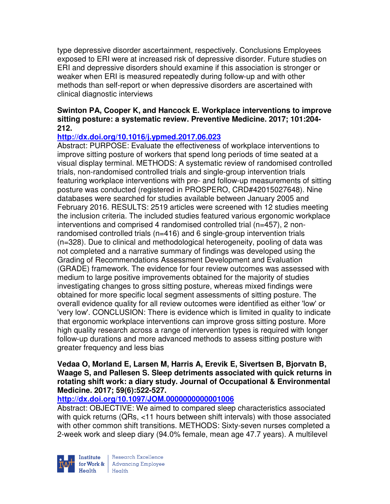type depressive disorder ascertainment, respectively. Conclusions Employees exposed to ERI were at increased risk of depressive disorder. Future studies on ERI and depressive disorders should examine if this association is stronger or weaker when ERI is measured repeatedly during follow-up and with other methods than self-report or when depressive disorders are ascertained with clinical diagnostic interviews

### **Swinton PA, Cooper K, and Hancock E. Workplace interventions to improve sitting posture: a systematic review. Preventive Medicine. 2017; 101:204- 212.**

## **http://dx.doi.org/10.1016/j.ypmed.2017.06.023**

Abstract: PURPOSE: Evaluate the effectiveness of workplace interventions to improve sitting posture of workers that spend long periods of time seated at a visual display terminal. METHODS: A systematic review of randomised controlled trials, non-randomised controlled trials and single-group intervention trials featuring workplace interventions with pre- and follow-up measurements of sitting posture was conducted (registered in PROSPERO, CRD#42015027648). Nine databases were searched for studies available between January 2005 and February 2016. RESULTS: 2519 articles were screened with 12 studies meeting the inclusion criteria. The included studies featured various ergonomic workplace interventions and comprised 4 randomised controlled trial (n=457), 2 nonrandomised controlled trials (n=416) and 6 single-group intervention trials (n=328). Due to clinical and methodological heterogeneity, pooling of data was not completed and a narrative summary of findings was developed using the Grading of Recommendations Assessment Development and Evaluation (GRADE) framework. The evidence for four review outcomes was assessed with medium to large positive improvements obtained for the majority of studies investigating changes to gross sitting posture, whereas mixed findings were obtained for more specific local segment assessments of sitting posture. The overall evidence quality for all review outcomes were identified as either 'low' or 'very low'. CONCLUSION: There is evidence which is limited in quality to indicate that ergonomic workplace interventions can improve gross sitting posture. More high quality research across a range of intervention types is required with longer follow-up durations and more advanced methods to assess sitting posture with greater frequency and less bias

#### **Vedaa O, Morland E, Larsen M, Harris A, Erevik E, Sivertsen B, Bjorvatn B, Waage S, and Pallesen S. Sleep detriments associated with quick returns in rotating shift work: a diary study. Journal of Occupational & Environmental Medicine. 2017; 59(6):522-527.**

## **http://dx.doi.org/10.1097/JOM.0000000000001006**

Abstract: OBJECTIVE: We aimed to compared sleep characteristics associated with quick returns (QRs, <11 hours between shift intervals) with those associated with other common shift transitions. METHODS: Sixty-seven nurses completed a 2-week work and sleep diary (94.0% female, mean age 47.7 years). A multilevel